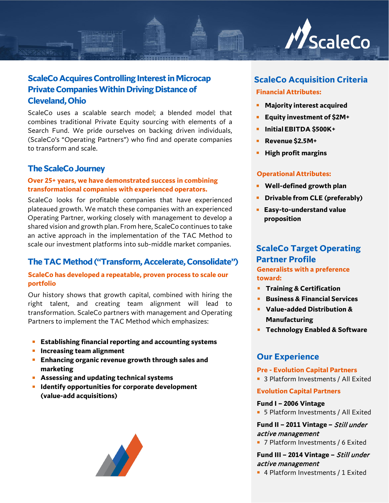

## **ScaleCo Acquires Controlling Interest in Microcap Private Companies Within Driving Distance of Cleveland, Ohio**

ScaleCo uses a scalable search model; a blended model that combines traditional Private Equity sourcing with elements of a Search Fund. We pride ourselves on backing driven individuals, (ScaleCo's "Operating Partners") who find and operate companies to transform and scale.

### **The ScaleCo Journey**

### **Over 25+ years, we have demonstrated success in combining transformational companies with experienced operators.**

ScaleCo looks for profitable companies that have experienced plateaued growth. We match these companies with an experienced Operating Partner, working closely with management to develop a shared vision and growth plan. From here, ScaleCo continues to take an active approach in the implementation of the TAC Method to scale our investment platforms into sub-middle market companies.

### **The TAC Method("Transform, Accelerate, Consolidate")**

### **ScaleCo has developed a repeatable, proven process to scale our portfolio**

Our history shows that growth capital, combined with hiring the right talent, and creating team alignment will lead to transformation. ScaleCo partners with management and Operating Partners to implement the TAC Method which emphasizes:

- **Establishing financial reporting and accounting systems**
- **Increasing team alignment**
- **Enhancing organic revenue growth through sales and marketing**
- **Assessing and updating technical systems**
- **IDENTIFY OPPORTUNITIES for corporate development (value-add acquisitions)**



# **ScaleCo Acquisition Criteria**

### **Financial Attributes:**

- **Majority interest acquired**
- **Equity investment of \$2M+**
- **InitialEBITDA \$500K+**
- **Revenue \$2.5M+**
- **High profit margins**

### **Operational Attributes:**

- **Well-defined growth plan**
- **Drivable from CLE (preferably)**
- **Easy-to-understand value proposition**

### **ScaleCo Target Operating Partner Profile Generalists with a preference toward:**

- **Training & Certification**
- **Business & Financial Services**
- **Value-added Distribution & Manufacturing**
- **Technology Enabled & Software**

### **Our Experience**

#### **Pre - Evolution Capital Partners**

■ 3 Platform Investments / All Exited

### **Evolution Capital Partners**

#### **Fund I – 2006 Vintage**

■ 5 Platform Investments / All Exited

### **Fund II – 2011 Vintage –** Still under active management

■ 7 Platform Investments / 6 Exited

### **Fund III – 2014 Vintage –** Still under active management

■ 4 Platform Investments / 1 Exited